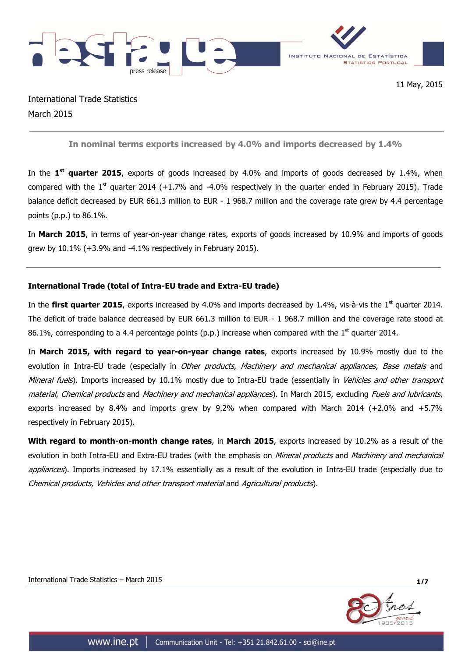

International Trade Statistics March 2015

**In nominal terms exports increased by 4.0% and imports decreased by 1.4%**

In the 1<sup>st</sup> quarter 2015, exports of goods increased by 4.0% and imports of goods decreased by 1.4%, when compared with the  $1<sup>st</sup>$  quarter 2014 (+1.7% and -4.0% respectively in the quarter ended in February 2015). Trade balance deficit decreased by EUR 661.3 million to EUR - 1 968.7 million and the coverage rate grew by 4.4 percentage points (p.p.) to 86.1%.

In **March 2015**, in terms of year-on-year change rates, exports of goods increased by 10.9% and imports of goods grew by 10.1% (+3.9% and -4.1% respectively in February 2015).

## **International Trade (total of Intra-EU trade and Extra-EU trade)**

In the first quarter 2015, exports increased by 4.0% and imports decreased by 1.4%, vis-à-vis the 1<sup>st</sup> quarter 2014. The deficit of trade balance decreased by EUR 661.3 million to EUR - 1 968.7 million and the coverage rate stood at 86.1%, corresponding to a 4.4 percentage points (p.p.) increase when compared with the 1<sup>st</sup> quarter 2014.

In **March 2015, with regard to year-on-year change rates**, exports increased by 10.9% mostly due to the evolution in Intra-EU trade (especially in *Other products, Machinery and mechanical appliances, Base metals* and Mineral fuels). Imports increased by 10.1% mostly due to Intra-EU trade (essentially in Vehicles and other transport material, Chemical products and Machinery and mechanical appliances). In March 2015, excluding Fuels and lubricants, exports increased by 8.4% and imports grew by 9.2% when compared with March 2014 (+2.0% and +5.7% respectively in February 2015).

**With regard to month-on-month change rates**, in **March 2015**, exports increased by 10.2% as a result of the evolution in both Intra-EU and Extra-EU trades (with the emphasis on *Mineral products* and *Machinery and mechanical* appliances). Imports increased by 17.1% essentially as a result of the evolution in Intra-EU trade (especially due to Chemical products, Vehicles and other transport material and Agricultural products).

International Trade Statistics – March 2015 **1/7**

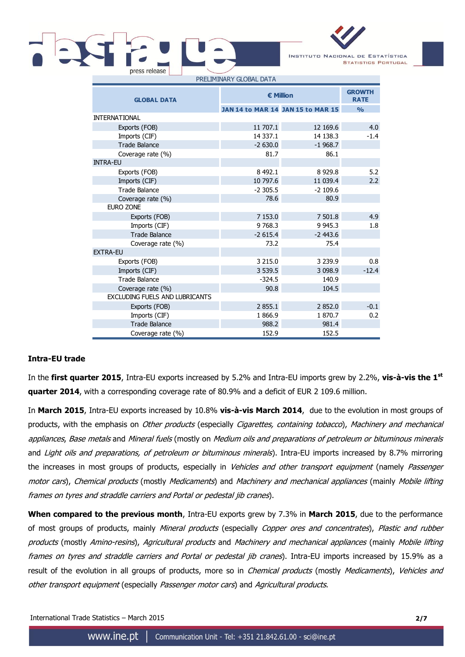

| <b>GLOBAL DATA</b>                    | € Million  | <b>GROWTH</b><br><b>RATE</b>      |               |
|---------------------------------------|------------|-----------------------------------|---------------|
|                                       |            | JAN 14 to MAR 14 JAN 15 to MAR 15 | $\frac{0}{0}$ |
| <b>INTERNATIONAL</b>                  |            |                                   |               |
| Exports (FOB)                         | 11 707.1   | 12 169.6                          | 4.0           |
| Imports (CIF)                         | 14 3 37.1  | 14 138.3                          | $-1.4$        |
| <b>Trade Balance</b>                  | $-2630.0$  | $-1968.7$                         |               |
| Coverage rate (%)                     | 81.7       | 86.1                              |               |
| <b>INTRA-EU</b>                       |            |                                   |               |
| Exports (FOB)                         | 8 4 9 2.1  | 8 9 2 9.8                         | 5.2           |
| Imports (CIF)                         | 10 797.6   | 11 039.4                          | 2.2           |
| <b>Trade Balance</b>                  | $-2.305.5$ | $-2$ 109.6                        |               |
| Coverage rate (%)                     | 78.6       | 80.9                              |               |
| EURO ZONE                             |            |                                   |               |
| Exports (FOB)                         | 7 153.0    | 7 501.8                           | 4.9           |
| Imports (CIF)                         | 9 7 68.3   | 9 9 4 5 . 3                       | 1.8           |
| <b>Trade Balance</b>                  | $-2615.4$  | $-2443.6$                         |               |
| Coverage rate (%)                     | 73.2       | 75.4                              |               |
| <b>EXTRA-EU</b>                       |            |                                   |               |
| Exports (FOB)                         | 3 2 1 5 .0 | 3 2 3 9 . 9                       | 0.8           |
| Imports (CIF)                         | 3 5 3 9.5  | 3 0 98.9                          | $-12.4$       |
| <b>Trade Balance</b>                  | $-324.5$   | 140.9                             |               |
| Coverage rate (%)                     | 90.8       | 104.5                             |               |
| <b>EXCLUDING FUELS AND LUBRICANTS</b> |            |                                   |               |
| Exports (FOB)                         | 2 855.1    | 2852.0                            | $-0.1$        |
| Imports (CIF)                         | 1866.9     | 1870.7                            | 0.2           |
| <b>Trade Balance</b>                  | 988.2      | 981.4                             |               |
| Coverage rate (%)                     | 152.9      | 152.5                             |               |

# **Intra-EU trade**

In the **first quarter 2015**, Intra-EU exports increased by 5.2% and Intra-EU imports grew by 2.2%, **vis-à-vis the 1 st quarter 2014**, with a corresponding coverage rate of 80.9% and a deficit of EUR 2 109.6 million.

In **March 2015**, Intra-EU exports increased by 10.8% **vis-à-vis March 2014**, due to the evolution in most groups of products, with the emphasis on *Other products* (especially *Cigarettes, containing tobacco*), Machinery and mechanical appliances, Base metals and Mineral fuels (mostly on Medium oils and preparations of petroleum or bituminous minerals and *Light oils and preparations, of petroleum or bituminous minerals*). Intra-EU imports increased by 8.7% mirroring the increases in most groups of products, especially in Vehicles and other transport equipment (namely Passenger motor cars), Chemical products (mostly Medicaments) and Machinery and mechanical appliances (mainly Mobile lifting frames on tyres and straddle carriers and Portal or pedestal jib cranes).

**When compared to the previous month**, Intra-EU exports grew by 7.3% in **March 2015**, due to the performance of most groups of products, mainly Mineral products (especially Copper ores and concentrates), Plastic and rubber products (mostly Amino-resins), Agricultural products and Machinery and mechanical appliances (mainly Mobile lifting frames on tyres and straddle carriers and Portal or pedestal jib cranes). Intra-EU imports increased by 15.9% as a result of the evolution in all groups of products, more so in *Chemical products* (mostly *Medicaments*), Vehicles and other transport equipment (especially Passenger motor cars) and Agricultural products.

International Trade Statistics – March 2015 **2/7**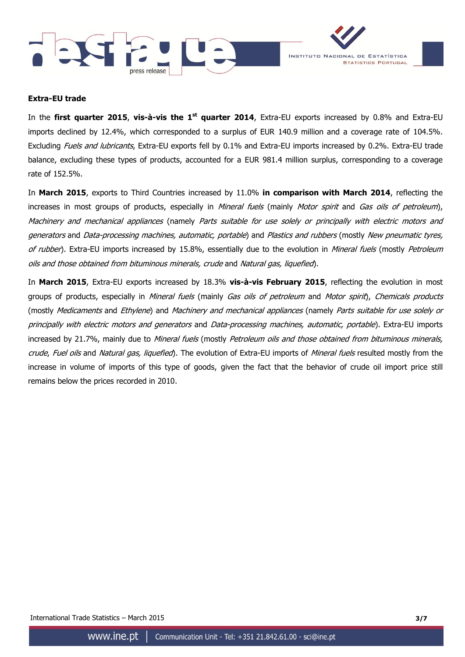



### **Extra-EU trade**

In the **first quarter 2015**, **vis-à-vis the 1 st quarter 2014**, Extra-EU exports increased by 0.8% and Extra-EU imports declined by 12.4%, which corresponded to a surplus of EUR 140.9 million and a coverage rate of 104.5%. Excluding *Fuels and lubricants*, Extra-EU exports fell by 0.1% and Extra-EU imports increased by 0.2%. Extra-EU trade balance, excluding these types of products, accounted for a EUR 981.4 million surplus, corresponding to a coverage rate of 152.5%.

In **March 2015**, exports to Third Countries increased by 11.0% **in comparison with March 2014**, reflecting the increases in most groups of products, especially in *Mineral fuels* (mainly *Motor spirit* and *Gas oils of petroleum*), Machinery and mechanical appliances (namely Parts suitable for use solely or principally with electric motors and generators and Data-processing machines, automatic, portable) and Plastics and rubbers (mostly New pneumatic tyres, of rubber). Extra-EU imports increased by 15.8%, essentially due to the evolution in Mineral fuels (mostly Petroleum oils and those obtained from bituminous minerals, crude and Natural gas, liquefied).

In **March 2015**, Extra-EU exports increased by 18.3% **vis-à-vis February 2015**, reflecting the evolution in most groups of products, especially in *Mineral fuels* (mainly *Gas oils of petroleum* and *Motor spirit), Chemicals products* (mostly Medicaments and Ethylene) and Machinery and mechanical appliances (namely Parts suitable for use solely or principally with electric motors and generators and Data-processing machines, automatic, portable). Extra-EU imports increased by 21.7%, mainly due to Mineral fuels (mostly Petroleum oils and those obtained from bituminous minerals, crude, Fuel oils and Natural gas, liquefied). The evolution of Extra-EU imports of Mineral fuels resulted mostly from the increase in volume of imports of this type of goods, given the fact that the behavior of crude oil import price still remains below the prices recorded in 2010.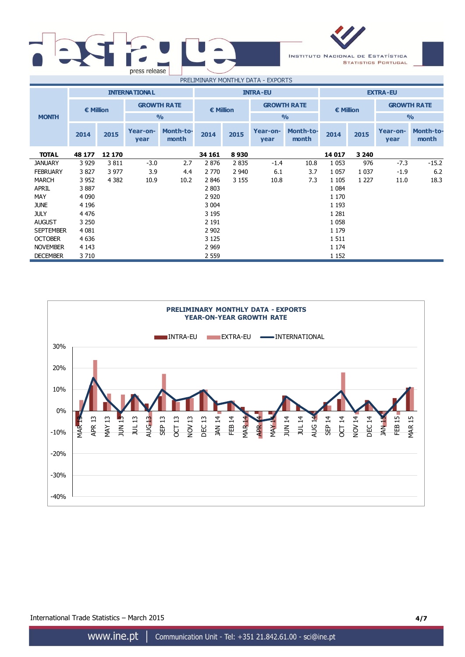| press release |                                      | <b>INSTITUTE</b> |
|---------------|--------------------------------------|------------------|
|               | <b>DOCUM 4TAIA DV AAGAITUUV DATA</b> | T1000T           |

NOVEMBER 4 143 2 969 2 1 174 DECEMBER 3 710 2 559 1 152





International Trade Statistics – March 2015 **4/7**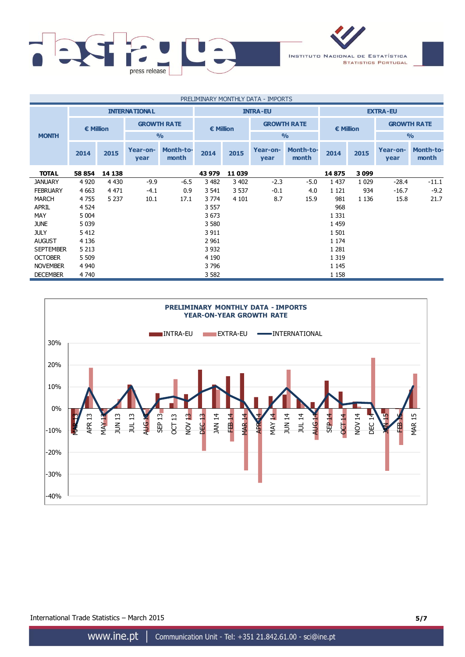

| PRELIMINARY MONTHLY DATA - IMPORTS |                    |         |                      |                           |                 |                                          |                  |                           |         |         |                    |                           |
|------------------------------------|--------------------|---------|----------------------|---------------------------|-----------------|------------------------------------------|------------------|---------------------------|---------|---------|--------------------|---------------------------|
|                                    |                    |         | <b>INTERNATIONAL</b> |                           | <b>INTRA-EU</b> |                                          |                  | <b>EXTRA-EU</b>           |         |         |                    |                           |
|                                    | $\epsilon$ Million |         | <b>GROWTH RATE</b>   |                           |                 | <b>GROWTH RATE</b><br>$\epsilon$ Million |                  | € Million                 |         |         | <b>GROWTH RATE</b> |                           |
| <b>MONTH</b>                       |                    |         |                      | $\frac{0}{0}$             |                 |                                          |                  | $\frac{0}{0}$             |         |         | $\frac{0}{0}$      |                           |
|                                    | 2014               | 2015    | Year-on-<br>year     | <b>Month-to-</b><br>month | 2014            | 2015                                     | Year-on-<br>year | <b>Month-to-</b><br>month | 2014    | 2015    | Year-on-<br>year   | <b>Month-to-</b><br>month |
| <b>TOTAL</b>                       | 58 854             | 14 138  |                      |                           | 43 979          | 11 0 39                                  |                  |                           | 14875   | 3099    |                    |                           |
| <b>JANUARY</b>                     | 4 9 20             | 4 4 3 0 | $-9.9$               | $-6.5$                    | 3 4 8 2         | 3 4 0 2                                  | $-2.3$           | $-5.0$                    | 1 4 3 7 | 1 0 2 9 | $-28.4$            | $-11.1$                   |
| <b>FEBRUARY</b>                    | 4 6 63             | 4 4 7 1 | $-4.1$               | 0.9                       | 3 5 4 1         | 3 5 3 7                                  | $-0.1$           | 4.0                       | 1 1 2 1 | 934     | $-16.7$            | $-9.2$                    |
| <b>MARCH</b>                       | 4 7 5 5            | 5 2 3 7 | 10.1                 | 17.1                      | 3 7 7 4         | 4 1 0 1                                  | 8.7              | 15.9                      | 981     | 1 1 3 6 | 15.8               | 21.7                      |
| <b>APRIL</b>                       | 4 5 24             |         |                      |                           | 3 5 5 7         |                                          |                  |                           | 968     |         |                    |                           |
| MAY                                | 5 0 0 4            |         |                      |                           | 3 6 7 3         |                                          |                  |                           | 1 3 3 1 |         |                    |                           |
| <b>JUNE</b>                        | 5 0 3 9            |         |                      |                           | 3 5 8 0         |                                          |                  |                           | 1 4 5 9 |         |                    |                           |
| <b>JULY</b>                        | 5 4 1 2            |         |                      |                           | 3 9 1 1         |                                          |                  |                           | 1 5 0 1 |         |                    |                           |
| <b>AUGUST</b>                      | 4 1 3 6            |         |                      |                           | 2 9 6 1         |                                          |                  |                           | 1 1 7 4 |         |                    |                           |
| <b>SEPTEMBER</b>                   | 5 2 1 3            |         |                      |                           | 3 9 3 2         |                                          |                  |                           | 1 2 8 1 |         |                    |                           |
| <b>OCTOBER</b>                     | 5 5 0 9            |         |                      |                           | 4 1 9 0         |                                          |                  |                           | 1 3 1 9 |         |                    |                           |
| <b>NOVEMBER</b>                    | 4 9 4 0            |         |                      |                           | 3796            |                                          |                  |                           | 1 1 4 5 |         |                    |                           |
| <b>DECEMBER</b>                    | 4 7 4 0            |         |                      |                           | 3 5 8 2         |                                          |                  |                           | 1 1 5 8 |         |                    |                           |



International Trade Statistics – March 2015 **5/7**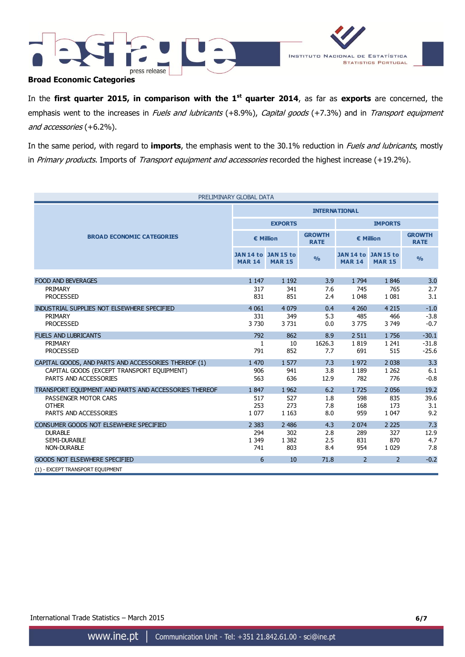



## **Broad Economic Categories**

In the first quarter 2015, in comparison with the 1<sup>st</sup> quarter 2014, as far as exports are concerned, the emphasis went to the increases in Fuels and lubricants (+8.9%), Capital goods (+7.3%) and in Transport equipment and accessories (+6.2%).

In the same period, with regard to **imports**, the emphasis went to the 30.1% reduction in Fuels and lubricants, mostly in Primary products. Imports of Transport equipment and accessories recorded the highest increase (+19.2%).

| PRELIMINARY GLOBAL DATA                               |                      |                                      |                              |                                      |               |                              |
|-------------------------------------------------------|----------------------|--------------------------------------|------------------------------|--------------------------------------|---------------|------------------------------|
|                                                       | <b>INTERNATIONAL</b> |                                      |                              |                                      |               |                              |
|                                                       |                      | <b>EXPORTS</b>                       |                              | <b>IMPORTS</b>                       |               |                              |
| <b>BROAD ECONOMIC CATEGORIES</b>                      |                      | € Million                            | <b>GROWTH</b><br><b>RATE</b> | € Million                            |               | <b>GROWTH</b><br><b>RATE</b> |
|                                                       | <b>MAR 14</b>        | JAN 14 to JAN 15 to<br><b>MAR 15</b> | $\frac{0}{0}$                | JAN 14 to JAN 15 to<br><b>MAR 14</b> | <b>MAR 15</b> | $\frac{0}{0}$                |
|                                                       |                      |                                      |                              |                                      |               |                              |
| <b>FOOD AND BEVERAGES</b>                             | 1 1 4 7              | 1 1 9 2                              | 3.9                          | 1 7 9 4                              | 1846          | 3.0                          |
| PRIMARY                                               | 317                  | 341                                  | 7.6                          | 745                                  | 765           | 2.7                          |
| <b>PROCESSED</b>                                      | 831                  | 851                                  | 2.4                          | 1 0 4 8                              | 1 0 8 1       | 3.1                          |
| INDUSTRIAL SUPPLIES NOT ELSEWHERE SPECIFIED           | 4 0 6 1              | 4 0 7 9                              | 0.4                          | 4 2 6 0                              | 4 2 1 5       | $-1.0$                       |
| PRIMARY                                               | 331                  | 349                                  | 5.3                          | 485                                  | 466           | $-3.8$                       |
| <b>PROCESSED</b>                                      | 3730                 | 3731                                 | 0.0                          | 3775                                 | 3 7 4 9       | $-0.7$                       |
| <b>FUELS AND LUBRICANTS</b>                           | 792                  | 862                                  | 8.9                          | 2 5 1 1                              | 1756          | $-30.1$                      |
| PRIMARY                                               | 1                    | 10                                   | 1626.3                       | 1819                                 | 1 2 4 1       | $-31.8$                      |
| <b>PROCESSED</b>                                      | 791                  | 852                                  | 7.7                          | 691                                  | 515           | $-25.6$                      |
| CAPITAL GOODS, AND PARTS AND ACCESSORIES THEREOF (1)  | 1 470                | 1577                                 | 7.3                          | 1972                                 | 2 0 3 8       | 3.3                          |
| CAPITAL GOODS (EXCEPT TRANSPORT EQUIPMENT)            | 906                  | 941                                  | 3.8                          | 1 1 8 9                              | 1 2 6 2       | 6.1                          |
| PARTS AND ACCESSORIES                                 | 563                  | 636                                  | 12.9                         | 782                                  | 776           | $-0.8$                       |
| TRANSPORT EQUIPMENT AND PARTS AND ACCESSORIES THEREOF | 1847                 | 1 9 6 2                              | 6.2                          | 1725                                 | 2 0 5 6       | 19.2                         |
| PASSENGER MOTOR CARS                                  | 517                  | 527                                  | 1.8                          | 598                                  | 835           | 39.6                         |
| <b>OTHER</b>                                          | 253                  | 273                                  | 7.8                          | 168                                  | 173           | 3.1                          |
| PARTS AND ACCESSORIES                                 | 1 0 7 7              | 1 1 6 3                              | 8.0                          | 959                                  | 1 0 4 7       | 9.2                          |
| CONSUMER GOODS NOT ELSEWHERE SPECIFIED                | 2 3 8 3              | 2 4 8 6                              | 4.3                          | 2 0 7 4                              | 2 2 2 5       | 7.3                          |
| <b>DURABLE</b>                                        | 294                  | 302                                  | 2.8                          | 289                                  | 327           | 12.9                         |
| <b>SEMI-DURABLE</b>                                   | 1 3 4 9              | 1 3 8 2                              | 2.5                          | 831                                  | 870           | 4.7                          |
| <b>NON-DURABLE</b>                                    | 741                  | 803                                  | 8.4                          | 954                                  | 1 0 2 9       | 7.8                          |
| <b>GOODS NOT ELSEWHERE SPECIFIED</b>                  | 6                    | 10                                   | 71.8                         | $\overline{2}$                       | $\mathcal{P}$ | $-0.2$                       |
| (1) - EXCEPT TRANSPORT EQUIPMENT                      |                      |                                      |                              |                                      |               |                              |

International Trade Statistics – March 2015 **6/7**